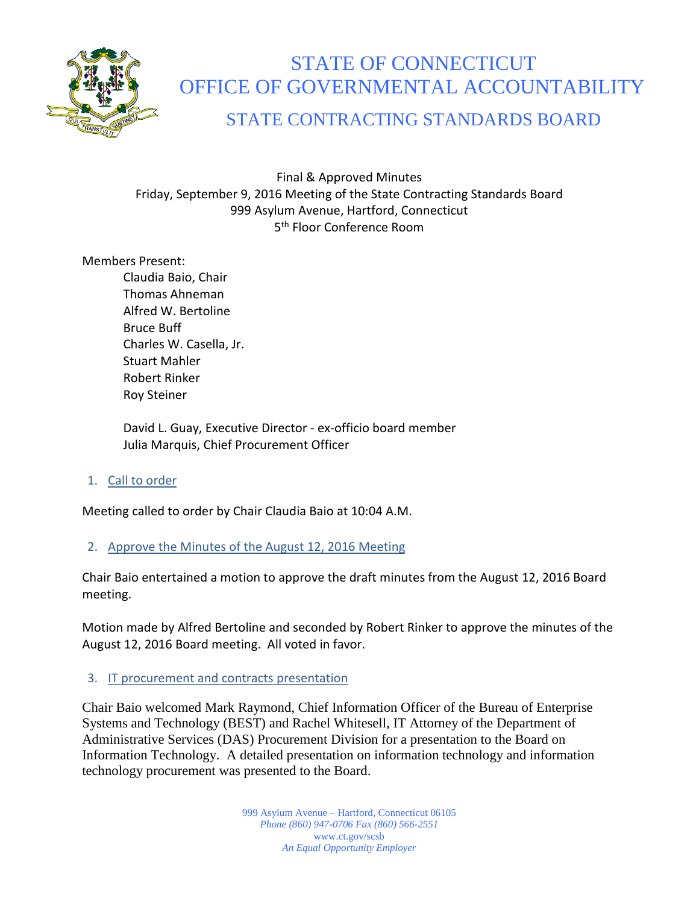

# STATE OF CONNECTICUT OFFICE OF GOVERNMENTAL ACCOUNTABILITY

# STATE CONTRACTING STANDARDS BOARD

Final & Approved Minutes Friday, September 9, 2016 Meeting of the State Contracting Standards Board 999 Asylum Avenue, Hartford, Connecticut 5th Floor Conference Room

# Members Present:

Claudia Baio, Chair Thomas Ahneman Alfred W. Bertoline Bruce Buff Charles W. Casella, Jr. Stuart Mahler Robert Rinker Roy Steiner

David L. Guay, Executive Director - ex-officio board member Julia Marquis, Chief Procurement Officer

1. Call to order

Meeting called to order by Chair Claudia Baio at 10:04 A.M.

# 2. Approve the Minutes of the August 12, 2016 Meeting

Chair Baio entertained a motion to approve the draft minutes from the August 12, 2016 Board meeting.

Motion made by Alfred Bertoline and seconded by Robert Rinker to approve the minutes of the August 12, 2016 Board meeting. All voted in favor.

# 3. IT procurement and contracts presentation

Chair Baio welcomed Mark Raymond, Chief Information Officer of the Bureau of Enterprise Systems and Technology (BEST) and Rachel Whitesell, IT Attorney of the Department of Administrative Services (DAS) Procurement Division for a presentation to the Board on Information Technology. A detailed presentation on information technology and information technology procurement was presented to the Board.

> 999 Asylum Avenue – Hartford, Connecticut 06105 *Phone (860) 947-0706 Fax (860) 566-2551* www.ct.gov/scsb *An Equal Opportunity Employer*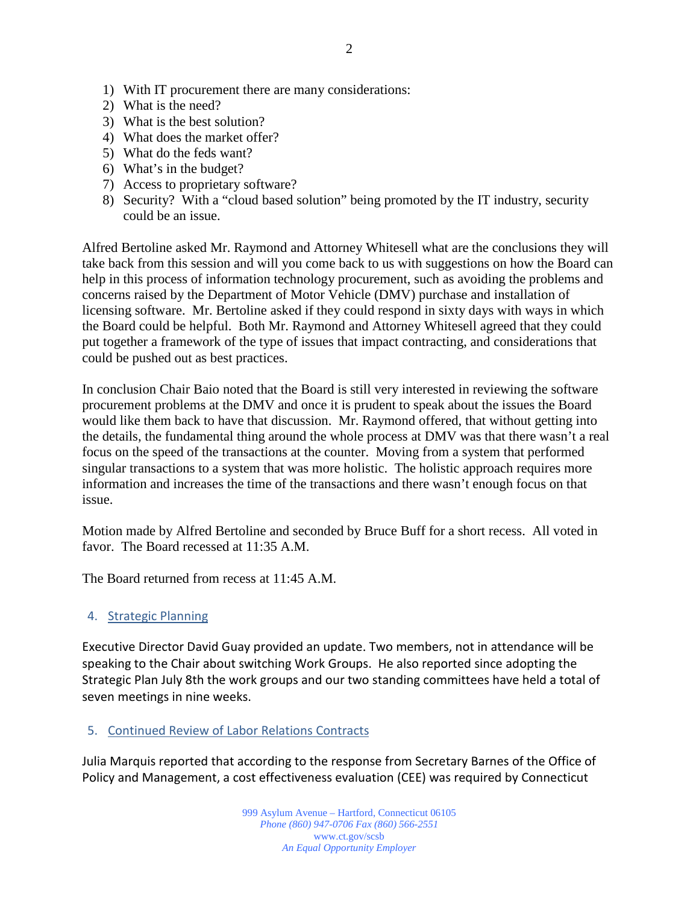- 1) With IT procurement there are many considerations:
- 2) What is the need?
- 3) What is the best solution?
- 4) What does the market offer?
- 5) What do the feds want?
- 6) What's in the budget?
- 7) Access to proprietary software?
- 8) Security? With a "cloud based solution" being promoted by the IT industry, security could be an issue.

Alfred Bertoline asked Mr. Raymond and Attorney Whitesell what are the conclusions they will take back from this session and will you come back to us with suggestions on how the Board can help in this process of information technology procurement, such as avoiding the problems and concerns raised by the Department of Motor Vehicle (DMV) purchase and installation of licensing software. Mr. Bertoline asked if they could respond in sixty days with ways in which the Board could be helpful. Both Mr. Raymond and Attorney Whitesell agreed that they could put together a framework of the type of issues that impact contracting, and considerations that could be pushed out as best practices.

In conclusion Chair Baio noted that the Board is still very interested in reviewing the software procurement problems at the DMV and once it is prudent to speak about the issues the Board would like them back to have that discussion. Mr. Raymond offered, that without getting into the details, the fundamental thing around the whole process at DMV was that there wasn't a real focus on the speed of the transactions at the counter. Moving from a system that performed singular transactions to a system that was more holistic. The holistic approach requires more information and increases the time of the transactions and there wasn't enough focus on that issue.

Motion made by Alfred Bertoline and seconded by Bruce Buff for a short recess. All voted in favor. The Board recessed at 11:35 A.M.

The Board returned from recess at 11:45 A.M.

# 4. Strategic Planning

Executive Director David Guay provided an update. Two members, not in attendance will be speaking to the Chair about switching Work Groups. He also reported since adopting the Strategic Plan July 8th the work groups and our two standing committees have held a total of seven meetings in nine weeks.

# 5. Continued Review of Labor Relations Contracts

Julia Marquis reported that according to the response from Secretary Barnes of the Office of Policy and Management, a cost effectiveness evaluation (CEE) was required by Connecticut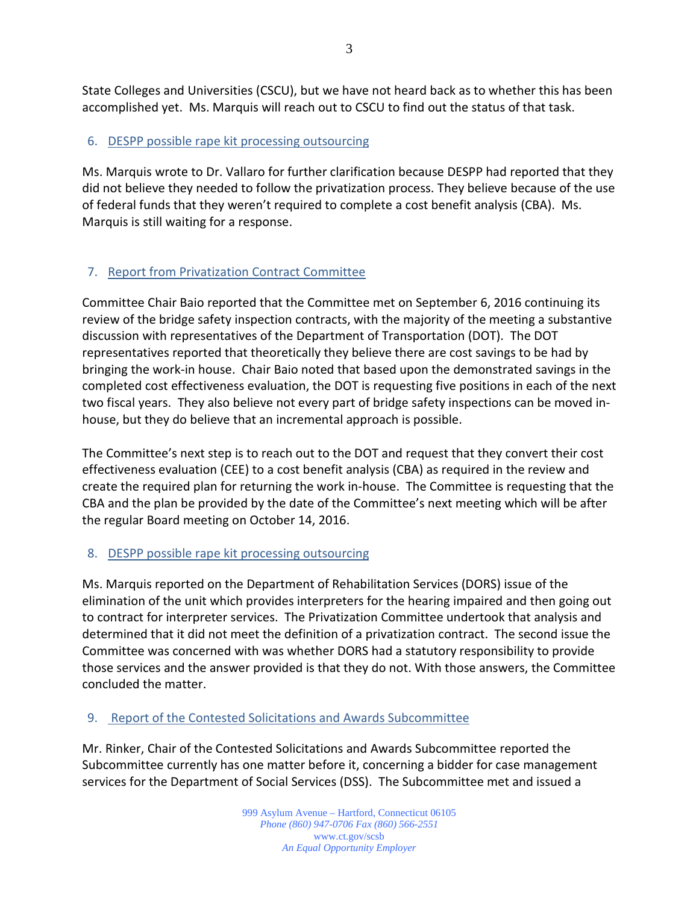State Colleges and Universities (CSCU), but we have not heard back as to whether this has been accomplished yet. Ms. Marquis will reach out to CSCU to find out the status of that task.

# 6. DESPP possible rape kit processing outsourcing

Ms. Marquis wrote to Dr. Vallaro for further clarification because DESPP had reported that they did not believe they needed to follow the privatization process. They believe because of the use of federal funds that they weren't required to complete a cost benefit analysis (CBA). Ms. Marquis is still waiting for a response.

# 7. Report from Privatization Contract Committee

Committee Chair Baio reported that the Committee met on September 6, 2016 continuing its review of the bridge safety inspection contracts, with the majority of the meeting a substantive discussion with representatives of the Department of Transportation (DOT). The DOT representatives reported that theoretically they believe there are cost savings to be had by bringing the work-in house. Chair Baio noted that based upon the demonstrated savings in the completed cost effectiveness evaluation, the DOT is requesting five positions in each of the next two fiscal years. They also believe not every part of bridge safety inspections can be moved inhouse, but they do believe that an incremental approach is possible.

The Committee's next step is to reach out to the DOT and request that they convert their cost effectiveness evaluation (CEE) to a cost benefit analysis (CBA) as required in the review and create the required plan for returning the work in-house. The Committee is requesting that the CBA and the plan be provided by the date of the Committee's next meeting which will be after the regular Board meeting on October 14, 2016.

# 8. DESPP possible rape kit processing outsourcing

Ms. Marquis reported on the Department of Rehabilitation Services (DORS) issue of the elimination of the unit which provides interpreters for the hearing impaired and then going out to contract for interpreter services. The Privatization Committee undertook that analysis and determined that it did not meet the definition of a privatization contract. The second issue the Committee was concerned with was whether DORS had a statutory responsibility to provide those services and the answer provided is that they do not. With those answers, the Committee concluded the matter.

# 9. Report of the Contested Solicitations and Awards Subcommittee

Mr. Rinker, Chair of the Contested Solicitations and Awards Subcommittee reported the Subcommittee currently has one matter before it, concerning a bidder for case management services for the Department of Social Services (DSS). The Subcommittee met and issued a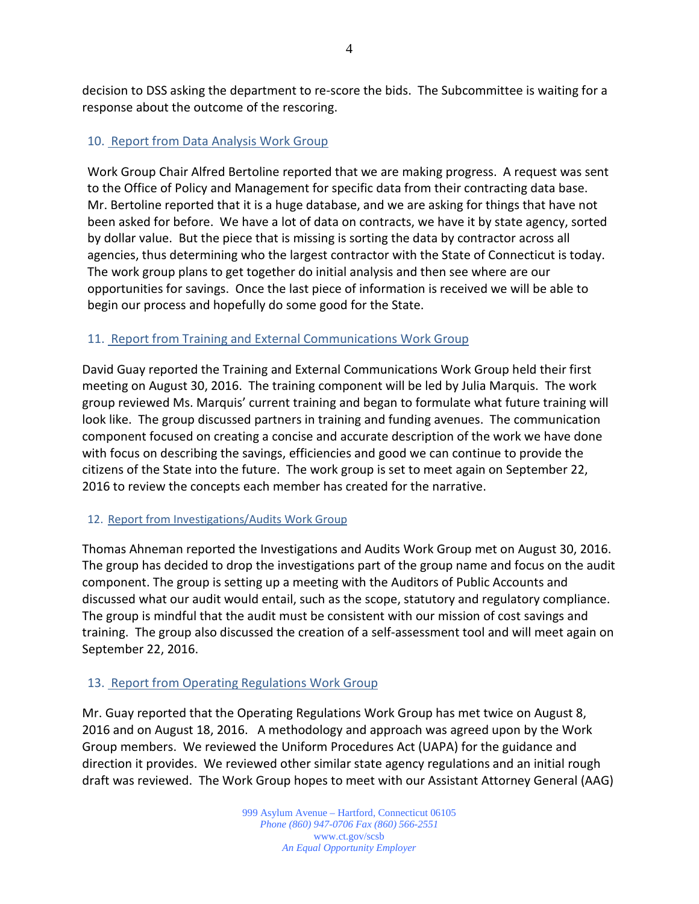decision to DSS asking the department to re-score the bids. The Subcommittee is waiting for a response about the outcome of the rescoring.

# 10. Report from Data Analysis Work Group

Work Group Chair Alfred Bertoline reported that we are making progress. A request was sent to the Office of Policy and Management for specific data from their contracting data base. Mr. Bertoline reported that it is a huge database, and we are asking for things that have not been asked for before. We have a lot of data on contracts, we have it by state agency, sorted by dollar value. But the piece that is missing is sorting the data by contractor across all agencies, thus determining who the largest contractor with the State of Connecticut is today. The work group plans to get together do initial analysis and then see where are our opportunities for savings. Once the last piece of information is received we will be able to begin our process and hopefully do some good for the State.

# 11. Report from Training and External Communications Work Group

David Guay reported the Training and External Communications Work Group held their first meeting on August 30, 2016. The training component will be led by Julia Marquis. The work group reviewed Ms. Marquis' current training and began to formulate what future training will look like. The group discussed partners in training and funding avenues. The communication component focused on creating a concise and accurate description of the work we have done with focus on describing the savings, efficiencies and good we can continue to provide the citizens of the State into the future. The work group is set to meet again on September 22, 2016 to review the concepts each member has created for the narrative.

# 12. Report from Investigations/Audits Work Group

Thomas Ahneman reported the Investigations and Audits Work Group met on August 30, 2016. The group has decided to drop the investigations part of the group name and focus on the audit component. The group is setting up a meeting with the Auditors of Public Accounts and discussed what our audit would entail, such as the scope, statutory and regulatory compliance. The group is mindful that the audit must be consistent with our mission of cost savings and training. The group also discussed the creation of a self-assessment tool and will meet again on September 22, 2016.

# 13. Report from Operating Regulations Work Group

Mr. Guay reported that the Operating Regulations Work Group has met twice on August 8, 2016 and on August 18, 2016. A methodology and approach was agreed upon by the Work Group members. We reviewed the Uniform Procedures Act (UAPA) for the guidance and direction it provides. We reviewed other similar state agency regulations and an initial rough draft was reviewed. The Work Group hopes to meet with our Assistant Attorney General (AAG)